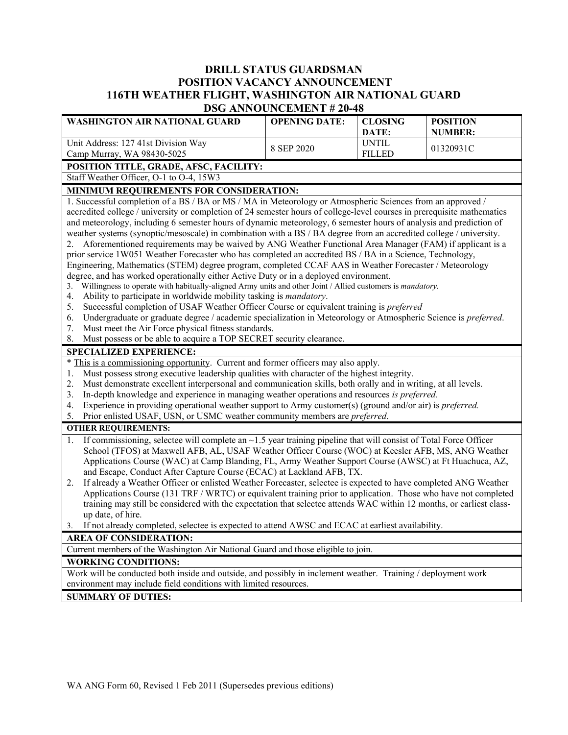# **DRILL STATUS GUARDSMAN POSITION VACANCY ANNOUNCEMENT 116TH WEATHER FLIGHT, WASHINGTON AIR NATIONAL GUARD DSG ANNOUNCEMENT # 20-48**

| WASHINGTON AIR NATIONAL GUARD                                                                                                                                                                | <b>OPENING DATE:</b> | <b>CLOSING</b><br>DATE: | <b>POSITION</b><br><b>NUMBER:</b> |  |
|----------------------------------------------------------------------------------------------------------------------------------------------------------------------------------------------|----------------------|-------------------------|-----------------------------------|--|
| Unit Address: 127 41st Division Way                                                                                                                                                          | 8 SEP 2020           | <b>UNTIL</b>            | 01320931C                         |  |
| Camp Murray, WA 98430-5025                                                                                                                                                                   |                      | <b>FILLED</b>           |                                   |  |
| POSITION TITLE, GRADE, AFSC, FACILITY:                                                                                                                                                       |                      |                         |                                   |  |
| Staff Weather Officer, O-1 to O-4, 15W3                                                                                                                                                      |                      |                         |                                   |  |
| MINIMUM REQUIREMENTS FOR CONSIDERATION:                                                                                                                                                      |                      |                         |                                   |  |
| 1. Successful completion of a BS / BA or MS / MA in Meteorology or Atmospheric Sciences from an approved /                                                                                   |                      |                         |                                   |  |
| accredited college / university or completion of 24 semester hours of college-level courses in prerequisite mathematics                                                                      |                      |                         |                                   |  |
| and meteorology, including 6 semester hours of dynamic meteorology, 6 semester hours of analysis and prediction of                                                                           |                      |                         |                                   |  |
| weather systems (synoptic/mesoscale) in combination with a BS / BA degree from an accredited college / university.                                                                           |                      |                         |                                   |  |
| 2. Aforementioned requirements may be waived by ANG Weather Functional Area Manager (FAM) if applicant is a                                                                                  |                      |                         |                                   |  |
| prior service 1W051 Weather Forecaster who has completed an accredited BS / BA in a Science, Technology,                                                                                     |                      |                         |                                   |  |
| Engineering, Mathematics (STEM) degree program, completed CCAF AAS in Weather Forecaster / Meteorology                                                                                       |                      |                         |                                   |  |
| degree, and has worked operationally either Active Duty or in a deployed environment.                                                                                                        |                      |                         |                                   |  |
| Willingness to operate with habitually-aligned Army units and other Joint / Allied customers is mandatory.<br>3.<br>Ability to participate in worldwide mobility tasking is mandatory.<br>4. |                      |                         |                                   |  |
| Successful completion of USAF Weather Officer Course or equivalent training is <i>preferred</i><br>5.                                                                                        |                      |                         |                                   |  |
| Undergraduate or graduate degree / academic specialization in Meteorology or Atmospheric Science is preferred.<br>6.                                                                         |                      |                         |                                   |  |
| Must meet the Air Force physical fitness standards.<br>7.                                                                                                                                    |                      |                         |                                   |  |
| Must possess or be able to acquire a TOP SECRET security clearance.<br>8.                                                                                                                    |                      |                         |                                   |  |
| <b>SPECIALIZED EXPERIENCE:</b>                                                                                                                                                               |                      |                         |                                   |  |
| * This is a commissioning opportunity. Current and former officers may also apply.                                                                                                           |                      |                         |                                   |  |
| Must possess strong executive leadership qualities with character of the highest integrity.<br>1.                                                                                            |                      |                         |                                   |  |
| Must demonstrate excellent interpersonal and communication skills, both orally and in writing, at all levels.<br>2.                                                                          |                      |                         |                                   |  |
| In-depth knowledge and experience in managing weather operations and resources is preferred.<br>3.                                                                                           |                      |                         |                                   |  |
| Experience in providing operational weather support to Army customer(s) (ground and/or air) is <i>preferred</i> .<br>4.                                                                      |                      |                         |                                   |  |
| Prior enlisted USAF, USN, or USMC weather community members are preferred.<br>5.                                                                                                             |                      |                         |                                   |  |
| <b>OTHER REQUIREMENTS:</b>                                                                                                                                                                   |                      |                         |                                   |  |
| If commissioning, selectee will complete an $\sim$ 1.5 year training pipeline that will consist of Total Force Officer<br>1.                                                                 |                      |                         |                                   |  |
| School (TFOS) at Maxwell AFB, AL, USAF Weather Officer Course (WOC) at Keesler AFB, MS, ANG Weather                                                                                          |                      |                         |                                   |  |
| Applications Course (WAC) at Camp Blanding, FL, Army Weather Support Course (AWSC) at Ft Huachuca, AZ,                                                                                       |                      |                         |                                   |  |
| and Escape, Conduct After Capture Course (ECAC) at Lackland AFB, TX.                                                                                                                         |                      |                         |                                   |  |
| If already a Weather Officer or enlisted Weather Forecaster, selectee is expected to have completed ANG Weather<br>2.                                                                        |                      |                         |                                   |  |
| Applications Course (131 TRF / WRTC) or equivalent training prior to application. Those who have not completed                                                                               |                      |                         |                                   |  |
| training may still be considered with the expectation that selectee attends WAC within 12 months, or earliest class-                                                                         |                      |                         |                                   |  |
| up date, of hire.                                                                                                                                                                            |                      |                         |                                   |  |
| If not already completed, selectee is expected to attend AWSC and ECAC at earliest availability.<br>3.                                                                                       |                      |                         |                                   |  |
| <b>AREA OF CONSIDERATION:</b>                                                                                                                                                                |                      |                         |                                   |  |
| Current members of the Washington Air National Guard and those eligible to join.                                                                                                             |                      |                         |                                   |  |
| <b>WORKING CONDITIONS:</b>                                                                                                                                                                   |                      |                         |                                   |  |
| Work will be conducted both inside and outside, and possibly in inclement weather. Training / deployment work                                                                                |                      |                         |                                   |  |
| environment may include field conditions with limited resources.                                                                                                                             |                      |                         |                                   |  |
| <b>SUMMARY OF DUTIES:</b>                                                                                                                                                                    |                      |                         |                                   |  |